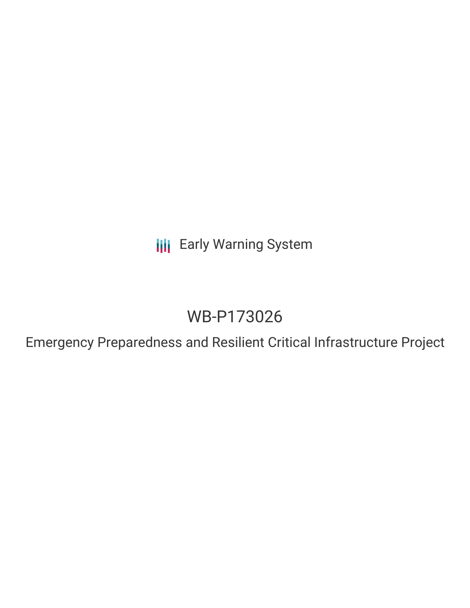**III** Early Warning System

# WB-P173026

Emergency Preparedness and Resilient Critical Infrastructure Project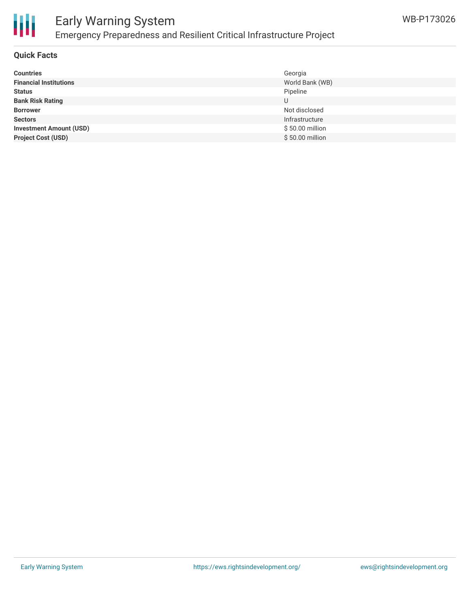

## Early Warning System Emergency Preparedness and Resilient Critical Infrastructure Project

### **Quick Facts**

| <b>Countries</b>               | Georgia         |
|--------------------------------|-----------------|
| <b>Financial Institutions</b>  | World Bank (WB) |
| <b>Status</b>                  | Pipeline        |
| <b>Bank Risk Rating</b>        | U               |
| <b>Borrower</b>                | Not disclosed   |
| <b>Sectors</b>                 | Infrastructure  |
| <b>Investment Amount (USD)</b> | \$50.00 million |
| <b>Project Cost (USD)</b>      | \$50.00 million |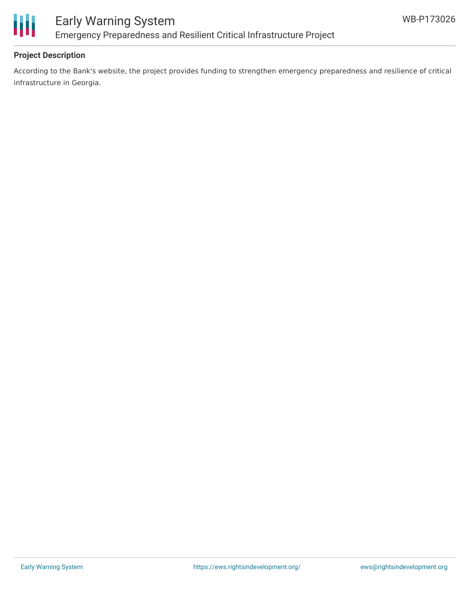

### **Project Description**

According to the Bank's website, the project provides funding to strengthen emergency preparedness and resilience of critical infrastructure in Georgia.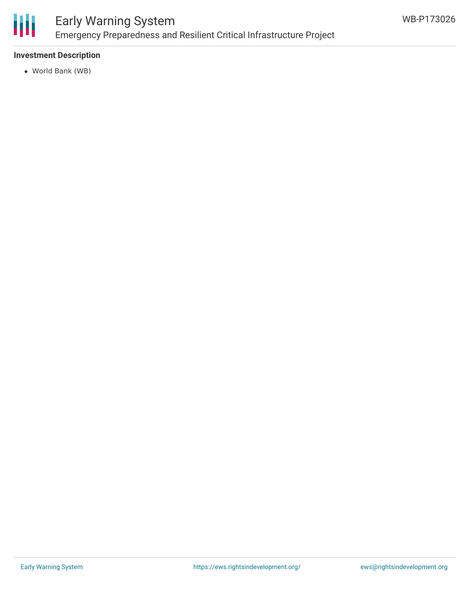

# Early Warning System Emergency Preparedness and Resilient Critical Infrastructure Project

### **Investment Description**

World Bank (WB)